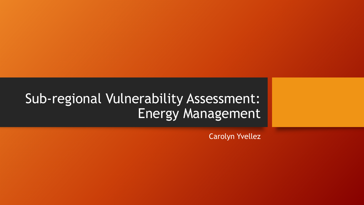## Sub-regional Vulnerability Assessment: Energy Management

Carolyn Yvellez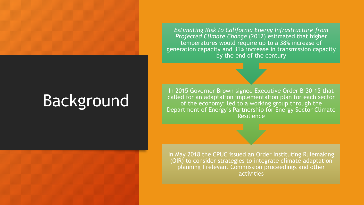*Estimating Risk to California Energy Infrastructure from Projected Climate Change* (2012) estimated that higher temperatures would require up to a 38% increase of generation capacity and 31% increase in transmission capacity by the end of the century

# Background

In 2015 Governor Brown signed Executive Order B-30-15 that called for an adaptation implementation plan for each sector of the economy; led to a working group through the Department of Energy's Partnership for Energy Sector Climate Resilience

In May 2018 the CPUC issued an Order Instituting Rulemaking (OIR) to consider strategies to integrate climate adaptation planning I relevant Commission proceedings and other activities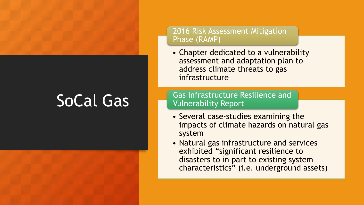# SoCal Gas

### 2016 Risk Assessment Mitigation Phase (RAMP)

• Chapter dedicated to a vulnerability assessment and adaptation plan to address climate threats to gas infrastructure

Gas Infrastructure Resilience and Vulnerability Report

- Several case-studies examining the impacts of climate hazards on natural gas system
- Natural gas infrastructure and services exhibited "significant resilience to disasters to in part to existing system characteristics" (i.e. underground assets)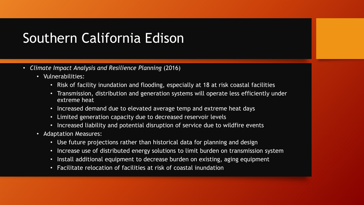# Southern California Edison

- *Climate Impact Analysis and Resilience Planning* (2016)
	- Vulnerabilities:
		- Risk of facility inundation and flooding, especially at 18 at risk coastal facilities
		- Transmission, distribution and generation systems will operate less efficiently under extreme heat
		- Increased demand due to elevated average temp and extreme heat days
		- Limited generation capacity due to decreased reservoir levels
		- Increased liability and potential disruption of service due to wildfire events
	- Adaptation Measures:
		- Use future projections rather than historical data for planning and design
		- Increase use of distributed energy solutions to limit burden on transmission system
		- Install additional equipment to decrease burden on existing, aging equipment
		- Facilitate relocation of facilities at risk of coastal inundation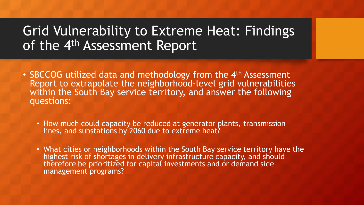## Grid Vulnerability to Extreme Heat: Findings of the 4<sup>th</sup> Assessment Report

- SBCCOG utilized data and methodology from the 4<sup>th</sup> Assessment Report to extrapolate the neighborhood-level grid vulnerabilities within the South Bay service territory, and answer the following questions:
	- How much could capacity be reduced at generator plants, transmission lines, and substations by 2060 due to extreme heat?
	- What cities or neighborhoods within the South Bay service territory have the highest risk of shortages in delivery infrastructure capacity, and should therefore be prioritized for capital investments and or demand side management programs?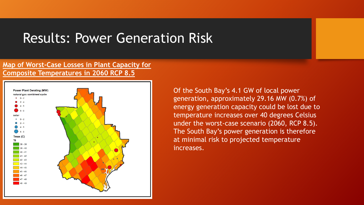### Results: Power Generation Risk

#### **Map of Worst-Case Losses in Plant Capacity for Composite Temperatures in 2060 RCP 8.5**



Of the South Bay's 4.1 GW of local power generation, approximately 29.16 MW (0.7%) of energy generation capacity could be lost due to temperature increases over 40 degrees Celsius under the worst-case scenario (2060, RCP 8.5). The South Bay's power generation is therefore at minimal risk to projected temperature increases.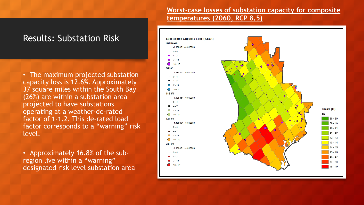### **Worst-case losses of substation capacity for composite temperatures (2060, RCP 8.5)**



• The maximum projected substation capacity loss is 12.6%. Approximately 37 square miles within the South Bay (26%) are within a substation area projected to have substations operating at a weather-de-rated factor of 1-1.2. This de-rated load factor corresponds to a "warning" risk level.

• Approximately 16.8% of the subregion live within a "warning" designated risk level substation area